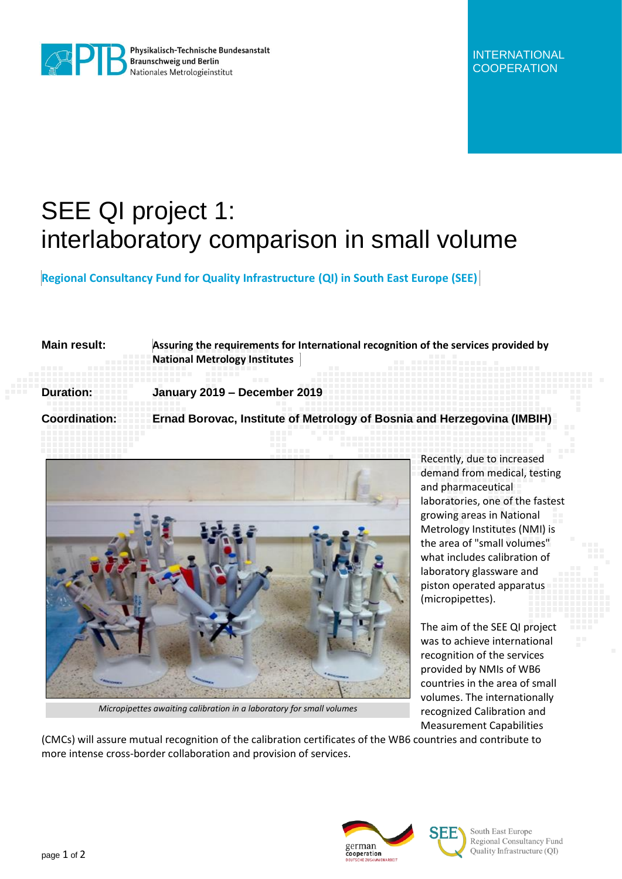

Physikalisch-Technische Bundesanstalt

## SEE QI project 1: interlaboratory comparison in small volume

**Regional Consultancy Fund for Quality Infrastructure (QI) in South East Europe (SEE)**

| Main result:         | Assuring the requirements for International recognition of the services provided by<br><b>National Metrology Institutes</b> |  |
|----------------------|-----------------------------------------------------------------------------------------------------------------------------|--|
| <b>Duration:</b>     | January 2019 - December 2019                                                                                                |  |
| <b>Coordination:</b> | Ernad Borovac, Institute of Metrology of Bosnia and Herzegovina (IMBIH)                                                     |  |



*Micropipettes awaiting calibration in a laboratory for small volumes*

Recently, due to increased demand from medical, testing and pharmaceutical laboratories, one of the fastest growing areas in National Metrology Institutes (NMI) is the area of "small volumes" what includes calibration of laboratory glassware and piston operated apparatus (micropipettes).

The aim of the SEE QI project was to achieve international recognition of the services provided by NMIs of WB6 countries in the area of small volumes. The internationally recognized Calibration and Measurement Capabilities

(CMCs) will assure mutual recognition of the calibration certificates of the WB6 countries and contribute to more intense cross-border collaboration and provision of services.





South East Europe Regional Consultancy Fund Quality Infrastructure (QI)